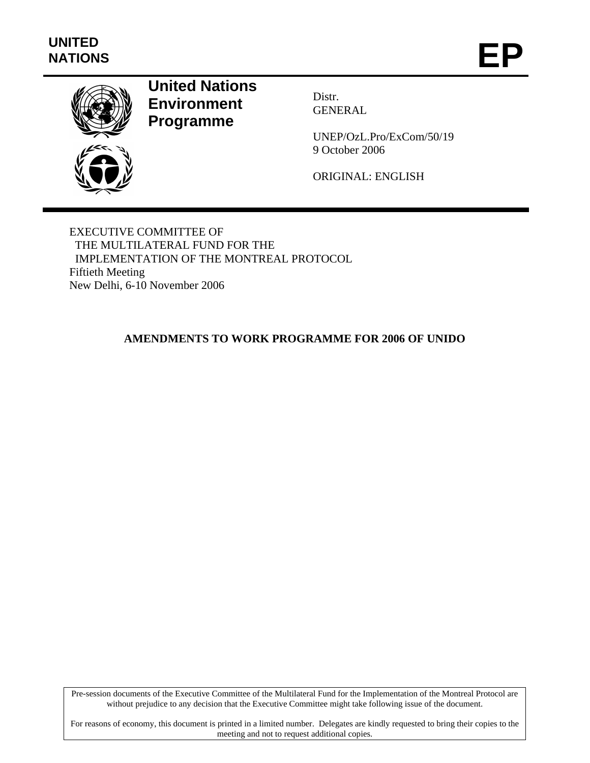

# **United Nations Environment Programme**

Distr. GENERAL

UNEP/OzL.Pro/ExCom/50/19 9 October 2006

ORIGINAL: ENGLISH

EXECUTIVE COMMITTEE OF THE MULTILATERAL FUND FOR THE IMPLEMENTATION OF THE MONTREAL PROTOCOL Fiftieth Meeting New Delhi, 6-10 November 2006

# **AMENDMENTS TO WORK PROGRAMME FOR 2006 OF UNIDO**

Pre-session documents of the Executive Committee of the Multilateral Fund for the Implementation of the Montreal Protocol are without prejudice to any decision that the Executive Committee might take following issue of the document.

For reasons of economy, this document is printed in a limited number. Delegates are kindly requested to bring their copies to the meeting and not to request additional copies.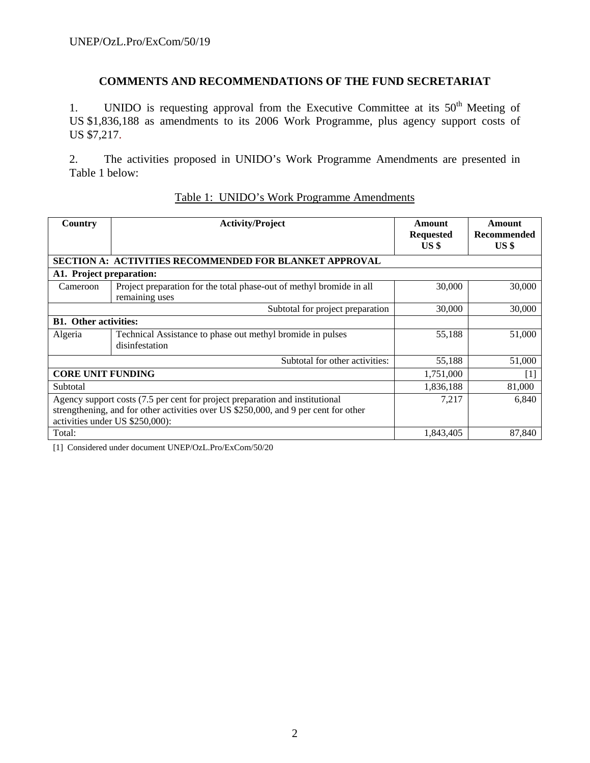## **COMMENTS AND RECOMMENDATIONS OF THE FUND SECRETARIAT**

1. UNIDO is requesting approval from the Executive Committee at its  $50<sup>th</sup>$  Meeting of US \$1,836,188 as amendments to its 2006 Work Programme, plus agency support costs of US \$7,217.

2. The activities proposed in UNIDO's Work Programme Amendments are presented in Table 1 below:

| Country                                                                                                                                                                                                | <b>Activity/Project</b>                                                                | Amount<br><b>Requested</b><br>US \$ | Amount<br>Recommended<br>US <sub>3</sub> |
|--------------------------------------------------------------------------------------------------------------------------------------------------------------------------------------------------------|----------------------------------------------------------------------------------------|-------------------------------------|------------------------------------------|
| <b>SECTION A: ACTIVITIES RECOMMENDED FOR BLANKET APPROVAL</b>                                                                                                                                          |                                                                                        |                                     |                                          |
| A1. Project preparation:                                                                                                                                                                               |                                                                                        |                                     |                                          |
| Cameroon                                                                                                                                                                                               | Project preparation for the total phase-out of methyl bromide in all<br>remaining uses | 30,000                              | 30,000                                   |
|                                                                                                                                                                                                        | Subtotal for project preparation                                                       | 30,000                              | 30,000                                   |
| <b>B1.</b> Other activities:                                                                                                                                                                           |                                                                                        |                                     |                                          |
| Algeria                                                                                                                                                                                                | Technical Assistance to phase out methyl bromide in pulses<br>disinfestation           | 55,188                              | 51,000                                   |
| Subtotal for other activities:                                                                                                                                                                         |                                                                                        | 55,188                              | 51,000                                   |
| <b>CORE UNIT FUNDING</b>                                                                                                                                                                               |                                                                                        | 1,751,000                           | $\lceil 1 \rceil$                        |
| Subtotal                                                                                                                                                                                               |                                                                                        | 1,836,188                           | 81,000                                   |
| Agency support costs (7.5 per cent for project preparation and institutional<br>strengthening, and for other activities over US \$250,000, and 9 per cent for other<br>activities under US \$250,000): |                                                                                        | 7,217                               | 6,840                                    |
| Total:                                                                                                                                                                                                 |                                                                                        | 1,843,405                           | 87,840                                   |

# Table 1: UNIDO's Work Programme Amendments

[1] Considered under document UNEP/OzL.Pro/ExCom/50/20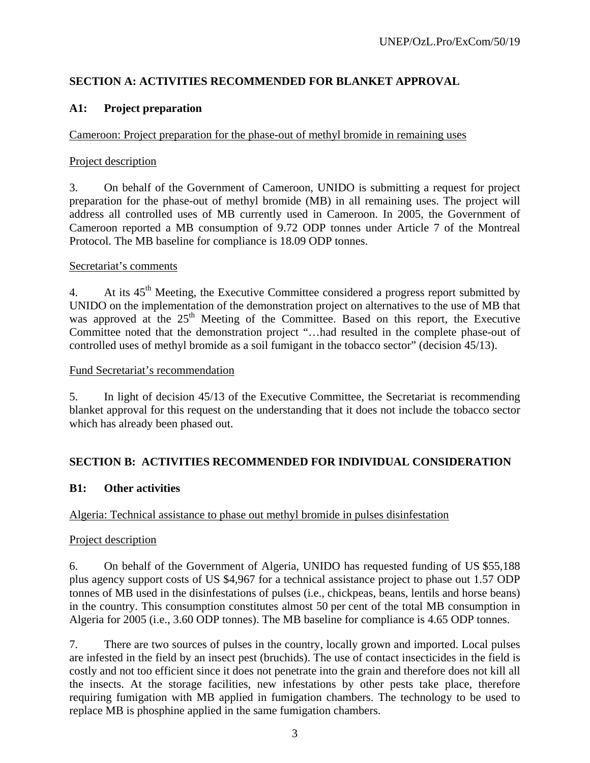# **SECTION A: ACTIVITIES RECOMMENDED FOR BLANKET APPROVAL**

# **A1: Project preparation**

## Cameroon: Project preparation for the phase-out of methyl bromide in remaining uses

## Project description

3. On behalf of the Government of Cameroon, UNIDO is submitting a request for project preparation for the phase-out of methyl bromide (MB) in all remaining uses. The project will address all controlled uses of MB currently used in Cameroon. In 2005, the Government of Cameroon reported a MB consumption of 9.72 ODP tonnes under Article 7 of the Montreal Protocol. The MB baseline for compliance is 18.09 ODP tonnes.

#### Secretariat's comments

4. At its  $45<sup>th</sup>$  Meeting, the Executive Committee considered a progress report submitted by UNIDO on the implementation of the demonstration project on alternatives to the use of MB that was approved at the 25<sup>th</sup> Meeting of the Committee. Based on this report, the Executive Committee noted that the demonstration project "…had resulted in the complete phase-out of controlled uses of methyl bromide as a soil fumigant in the tobacco sector" (decision 45/13).

#### Fund Secretariat's recommendation

5. In light of decision 45/13 of the Executive Committee, the Secretariat is recommending blanket approval for this request on the understanding that it does not include the tobacco sector which has already been phased out.

## **SECTION B: ACTIVITIES RECOMMENDED FOR INDIVIDUAL CONSIDERATION**

## **B1: Other activities**

## Algeria: Technical assistance to phase out methyl bromide in pulses disinfestation

#### Project description

6. On behalf of the Government of Algeria, UNIDO has requested funding of US \$55,188 plus agency support costs of US \$4,967 for a technical assistance project to phase out 1.57 ODP tonnes of MB used in the disinfestations of pulses (i.e., chickpeas, beans, lentils and horse beans) in the country. This consumption constitutes almost 50 per cent of the total MB consumption in Algeria for 2005 (i.e., 3.60 ODP tonnes). The MB baseline for compliance is 4.65 ODP tonnes.

7. There are two sources of pulses in the country, locally grown and imported. Local pulses are infested in the field by an insect pest (bruchids). The use of contact insecticides in the field is costly and not too efficient since it does not penetrate into the grain and therefore does not kill all the insects. At the storage facilities, new infestations by other pests take place, therefore requiring fumigation with MB applied in fumigation chambers. The technology to be used to replace MB is phosphine applied in the same fumigation chambers.